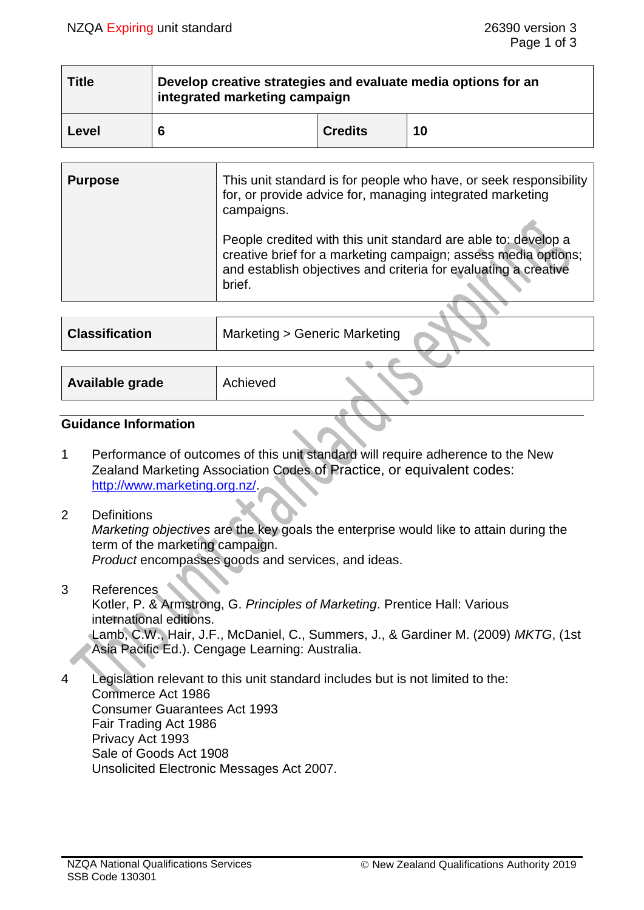| <b>Title</b> | Develop creative strategies and evaluate media options for an<br>integrated marketing campaign |                |    |  |
|--------------|------------------------------------------------------------------------------------------------|----------------|----|--|
| Level        |                                                                                                | <b>Credits</b> | 10 |  |

| This unit standard is for people who have, or seek responsibility<br>for, or provide advice for, managing integrated marketing<br>campaigns.<br>People credited with this unit standard are able to: develop a<br>creative brief for a marketing campaign; assess media options;<br>and establish objectives and criteria for evaluating a creative<br>brief. |
|---------------------------------------------------------------------------------------------------------------------------------------------------------------------------------------------------------------------------------------------------------------------------------------------------------------------------------------------------------------|
|                                                                                                                                                                                                                                                                                                                                                               |
|                                                                                                                                                                                                                                                                                                                                                               |

| <b>Classification</b> | Marketing > Generic Marketing |
|-----------------------|-------------------------------|
|                       |                               |
| Available grade       | Achieved                      |
|                       |                               |

### **Guidance Information**

- 1 Performance of outcomes of this unit standard will require adherence to the New Zealand Marketing Association Codes of Practice, or equivalent codes: [http://www.marketing.org.nz/.](http://www.marketing.org.nz/)
- 2 Definitions

*Marketing objectives* are the key goals the enterprise would like to attain during the term of the marketing campaign. *Product* encompasses goods and services, and ideas.

- 3 References Kotler, P. & Armstrong, G. *Principles of Marketing*. Prentice Hall: Various international editions. Lamb, C.W., Hair, J.F., McDaniel, C., Summers, J., & Gardiner M. (2009) *MKTG*, (1st Asia Pacific Ed.). Cengage Learning: Australia.
- 4 Legislation relevant to this unit standard includes but is not limited to the: Commerce Act 1986 Consumer Guarantees Act 1993 Fair Trading Act 1986 Privacy Act 1993 Sale of Goods Act 1908 Unsolicited Electronic Messages Act 2007.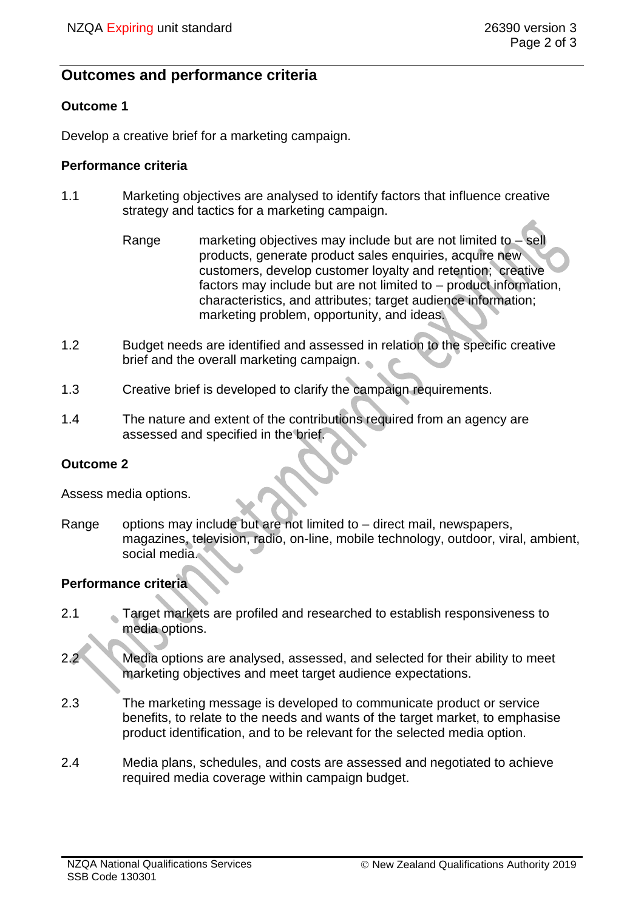# **Outcomes and performance criteria**

# **Outcome 1**

Develop a creative brief for a marketing campaign.

### **Performance criteria**

- 1.1 Marketing objectives are analysed to identify factors that influence creative strategy and tactics for a marketing campaign.
	- Range marketing objectives may include but are not limited to sell products, generate product sales enquiries, acquire new customers, develop customer loyalty and retention; creative factors may include but are not limited to – product information, characteristics, and attributes; target audience information; marketing problem, opportunity, and ideas.
- 1.2 Budget needs are identified and assessed in relation to the specific creative brief and the overall marketing campaign.
- 1.3 Creative brief is developed to clarify the campaign requirements.
- 1.4 The nature and extent of the contributions required from an agency are assessed and specified in the brief.

### **Outcome 2**

Assess media options.

Range options may include but are not limited to – direct mail, newspapers, magazines, television, radio, on-line, mobile technology, outdoor, viral, ambient, social media.

# **Performance criteria**

- 2.1 Target markets are profiled and researched to establish responsiveness to media options.
- 2.2 Media options are analysed, assessed, and selected for their ability to meet marketing objectives and meet target audience expectations.
- 2.3 The marketing message is developed to communicate product or service benefits, to relate to the needs and wants of the target market, to emphasise product identification, and to be relevant for the selected media option.
- 2.4 Media plans, schedules, and costs are assessed and negotiated to achieve required media coverage within campaign budget.